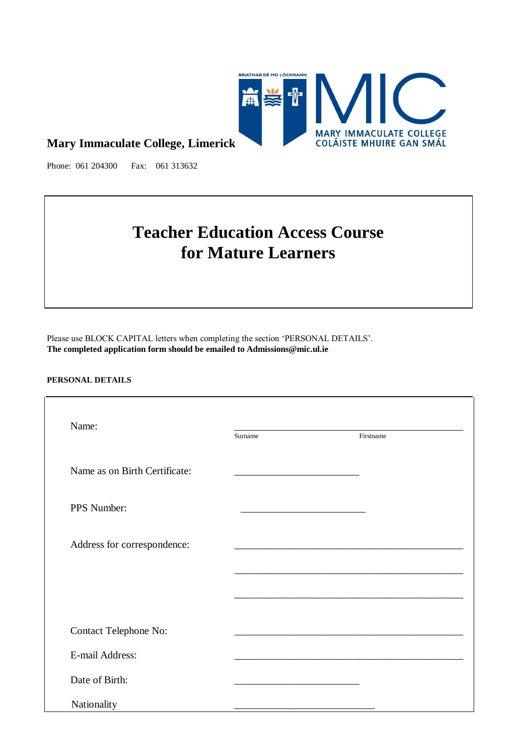

## **Mary Immaculate College, Limerick**

Phone: 061 204300 Fax: 061 313632

# **Teacher Education Access Course for Mature Learners**

Please use BLOCK CAPITAL letters when completing the section 'PERSONAL DETAILS'. **The completed application form should be emailed to Admissions@mic.ul.ie**

#### **PERSONAL DETAILS**

| Name:                         | Surname | Firstname                                                                  |
|-------------------------------|---------|----------------------------------------------------------------------------|
| Name as on Birth Certificate: |         |                                                                            |
| PPS Number:                   |         |                                                                            |
| Address for correspondence:   |         |                                                                            |
|                               |         |                                                                            |
|                               |         |                                                                            |
| <b>Contact Telephone No:</b>  |         | the control of the control of the control of the control of the control of |
| E-mail Address:               |         |                                                                            |
| Date of Birth:                |         |                                                                            |
| Nationality                   |         |                                                                            |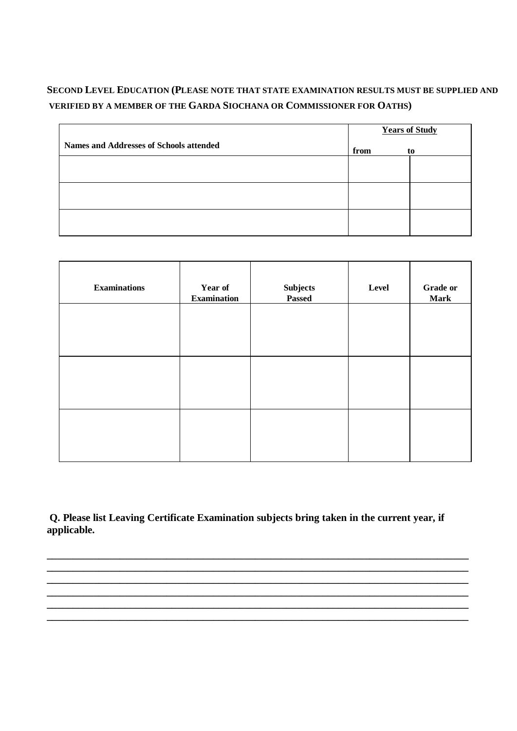## **SECOND LEVEL EDUCATION (PLEASE NOTE THAT STATE EXAMINATION RESULTS MUST BE SUPPLIED AND VERIFIED BY A MEMBER OF THE GARDA SIOCHANA OR COMMISSIONER FOR OATHS)**

|                                                | <b>Years of Study</b> |    |
|------------------------------------------------|-----------------------|----|
| <b>Names and Addresses of Schools attended</b> | from                  | to |
|                                                |                       |    |
|                                                |                       |    |
|                                                |                       |    |
|                                                |                       |    |
|                                                |                       |    |

| <b>Examinations</b> | Year of<br><b>Examination</b> | $\label{substack} \textbf{Subjects}$<br>Passed | Level | <b>Grade or</b><br><b>Mark</b> |
|---------------------|-------------------------------|------------------------------------------------|-------|--------------------------------|
|                     |                               |                                                |       |                                |
|                     |                               |                                                |       |                                |
|                     |                               |                                                |       |                                |
|                     |                               |                                                |       |                                |

**Q. Please list Leaving Certificate Examination subjects bring taken in the current year, if applicable.**

**\_\_\_\_\_\_\_\_\_\_\_\_\_\_\_\_\_\_\_\_\_\_\_\_\_\_\_\_\_\_\_\_\_\_\_\_\_\_\_\_\_\_\_\_\_\_\_\_\_\_\_\_\_\_\_\_\_\_\_\_\_\_\_\_\_\_\_\_\_\_\_\_\_\_\_\_\_\_\_\_\_ \_\_\_\_\_\_\_\_\_\_\_\_\_\_\_\_\_\_\_\_\_\_\_\_\_\_\_\_\_\_\_\_\_\_\_\_\_\_\_\_\_\_\_\_\_\_\_\_\_\_\_\_\_\_\_\_\_\_\_\_\_\_\_\_\_\_\_\_\_\_\_\_\_\_\_\_\_\_\_\_\_**

**\_\_\_\_\_\_\_\_\_\_\_\_\_\_\_\_\_\_\_\_\_\_\_\_\_\_\_\_\_\_\_\_\_\_\_\_\_\_\_\_\_\_\_\_\_\_\_\_\_\_\_\_\_\_\_\_\_\_\_\_\_\_\_\_\_\_\_\_\_\_\_\_\_\_\_\_\_\_\_\_\_**

**\_\_\_\_\_\_\_\_\_\_\_\_\_\_\_\_\_\_\_\_\_\_\_\_\_\_\_\_\_\_\_\_\_\_\_\_\_\_\_\_\_\_\_\_\_\_\_\_\_\_\_\_\_\_\_\_\_\_\_\_\_\_\_\_\_\_\_\_\_\_\_\_\_\_\_\_\_\_\_\_\_**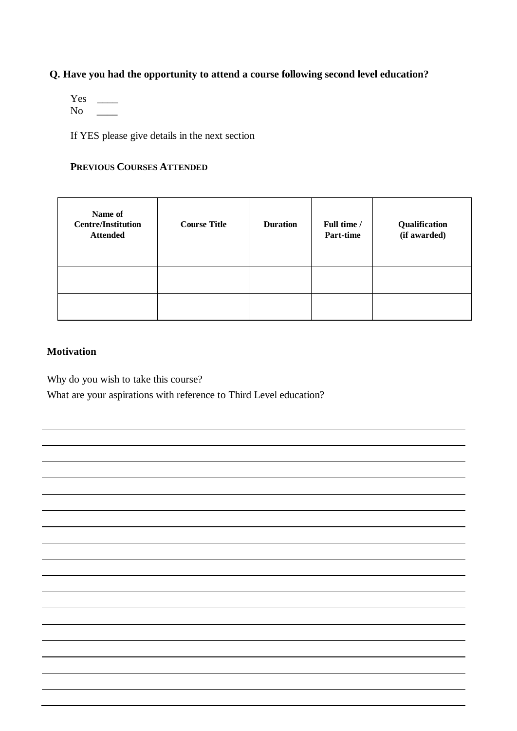## **Q. Have you had the opportunity to attend a course following second level education?**

 $Yes \t\tightharpoonup$  $No \t —$ 

If YES please give details in the next section

### **PREVIOUS COURSES ATTENDED**

| Name of<br><b>Centre/Institution</b><br><b>Attended</b> | <b>Course Title</b> | <b>Duration</b> | Full time /<br>Part-time | Qualification<br>(if awarded) |
|---------------------------------------------------------|---------------------|-----------------|--------------------------|-------------------------------|
|                                                         |                     |                 |                          |                               |
|                                                         |                     |                 |                          |                               |
|                                                         |                     |                 |                          |                               |

### **Motivation**

Why do you wish to take this course?

What are your aspirations with reference to Third Level education?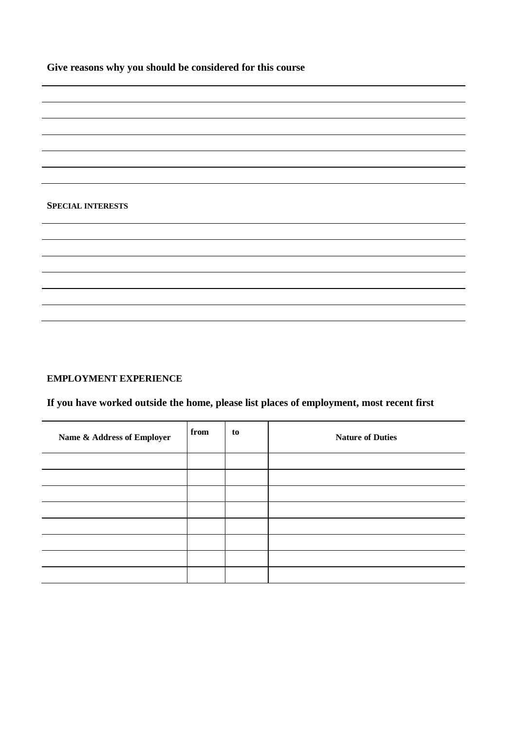**Give reasons why you should be considered for this course**

#### **SPECIAL INTERESTS**

#### **EMPLOYMENT EXPERIENCE**

## **If you have worked outside the home, please list places of employment, most recent first**

| Name & Address of Employer | from | to | <b>Nature of Duties</b> |
|----------------------------|------|----|-------------------------|
|                            |      |    |                         |
|                            |      |    |                         |
|                            |      |    |                         |
|                            |      |    |                         |
|                            |      |    |                         |
|                            |      |    |                         |
|                            |      |    |                         |
|                            |      |    |                         |